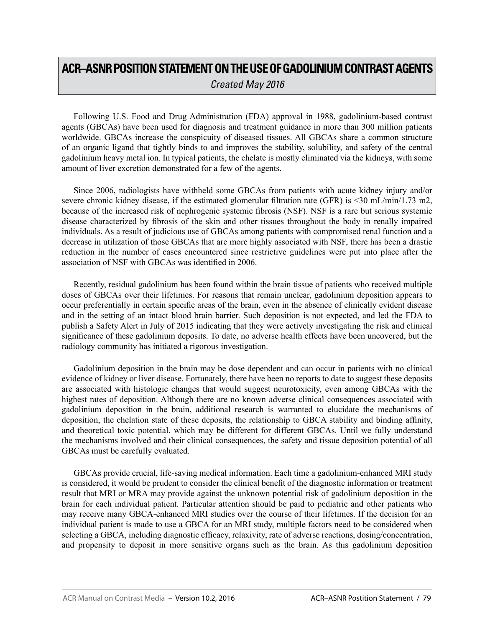## **ACR–ASNR POSITION STATEMENT ON THE USE OF GADOLINIUM CONTRAST AGENTS** *Created May 2016*

Following U.S. Food and Drug Administration (FDA) approval in 1988, gadolinium-based contrast agents (GBCAs) have been used for diagnosis and treatment guidance in more than 300 million patients worldwide. GBCAs increase the conspicuity of diseased tissues. All GBCAs share a common structure of an organic ligand that tightly binds to and improves the stability, solubility, and safety of the central gadolinium heavy metal ion. In typical patients, the chelate is mostly eliminated via the kidneys, with some amount of liver excretion demonstrated for a few of the agents.

Since 2006, radiologists have withheld some GBCAs from patients with acute kidney injury and/or severe chronic kidney disease, if the estimated glomerular filtration rate (GFR) is <30 mL/min/1.73 m2, because of the increased risk of nephrogenic systemic fibrosis (NSF). NSF is a rare but serious systemic disease characterized by fibrosis of the skin and other tissues throughout the body in renally impaired individuals. As a result of judicious use of GBCAs among patients with compromised renal function and a decrease in utilization of those GBCAs that are more highly associated with NSF, there has been a drastic reduction in the number of cases encountered since restrictive guidelines were put into place after the association of NSF with GBCAs was identified in 2006.

Recently, residual gadolinium has been found within the brain tissue of patients who received multiple doses of GBCAs over their lifetimes. For reasons that remain unclear, gadolinium deposition appears to occur preferentially in certain specific areas of the brain, even in the absence of clinically evident disease and in the setting of an intact blood brain barrier. Such deposition is not expected, and led the FDA to publish a Safety Alert in July of 2015 indicating that they were actively investigating the risk and clinical significance of these gadolinium deposits. To date, no adverse health effects have been uncovered, but the radiology community has initiated a rigorous investigation.

Gadolinium deposition in the brain may be dose dependent and can occur in patients with no clinical evidence of kidney or liver disease. Fortunately, there have been no reports to date to suggest these deposits are associated with histologic changes that would suggest neurotoxicity, even among GBCAs with the highest rates of deposition. Although there are no known adverse clinical consequences associated with gadolinium deposition in the brain, additional research is warranted to elucidate the mechanisms of deposition, the chelation state of these deposits, the relationship to GBCA stability and binding affinity, and theoretical toxic potential, which may be different for different GBCAs. Until we fully understand the mechanisms involved and their clinical consequences, the safety and tissue deposition potential of all GBCAs must be carefully evaluated.

GBCAs provide crucial, life-saving medical information. Each time a gadolinium-enhanced MRI study is considered, it would be prudent to consider the clinical benefit of the diagnostic information or treatment result that MRI or MRA may provide against the unknown potential risk of gadolinium deposition in the brain for each individual patient. Particular attention should be paid to pediatric and other patients who may receive many GBCA-enhanced MRI studies over the course of their lifetimes. If the decision for an individual patient is made to use a GBCA for an MRI study, multiple factors need to be considered when selecting a GBCA, including diagnostic efficacy, relaxivity, rate of adverse reactions, dosing/concentration, and propensity to deposit in more sensitive organs such as the brain. As this gadolinium deposition